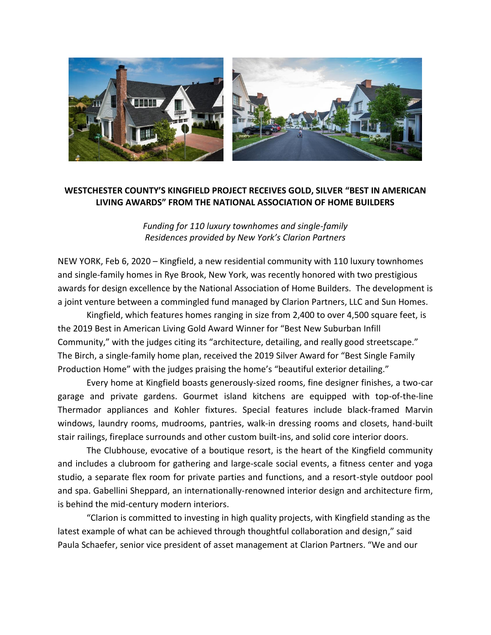

## **WESTCHESTER COUNTY'S KINGFIELD PROJECT RECEIVES GOLD, SILVER "BEST IN AMERICAN LIVING AWARDS" FROM THE NATIONAL ASSOCIATION OF HOME BUILDERS**

*Funding for 110 luxury townhomes and single-family Residences provided by New York's Clarion Partners*

NEW YORK, Feb 6, 2020 – Kingfield, a new residential community with 110 luxury townhomes and single-family homes in Rye Brook, New York, was recently honored with two prestigious awards for design excellence by the National Association of Home Builders. The development is a joint venture between a commingled fund managed by Clarion Partners, LLC and Sun Homes.

Kingfield, which features homes ranging in size from 2,400 to over 4,500 square feet, is the 2019 Best in American Living Gold Award Winner for "Best New Suburban Infill Community," with the judges citing its "architecture, detailing, and really good streetscape." The Birch, a single-family home plan, received the 2019 Silver Award for "Best Single Family Production Home" with the judges praising the home's "beautiful exterior detailing."

Every home at Kingfield boasts generously-sized rooms, fine designer finishes, a two-car garage and private gardens. Gourmet island kitchens are equipped with top-of-the-line Thermador appliances and Kohler fixtures. Special features include black-framed Marvin windows, laundry rooms, mudrooms, pantries, walk-in dressing rooms and closets, hand-built stair railings, fireplace surrounds and other custom built-ins, and solid core interior doors.

The Clubhouse, evocative of a boutique resort, is the heart of the Kingfield community and includes a clubroom for gathering and large-scale social events, a fitness center and yoga studio, a separate flex room for private parties and functions, and a resort-style outdoor pool and spa. Gabellini Sheppard, an internationally-renowned interior design and architecture firm, is behind the mid-century modern interiors.

"Clarion is committed to investing in high quality projects, with Kingfield standing as the latest example of what can be achieved through thoughtful collaboration and design," said Paula Schaefer, senior vice president of asset management at Clarion Partners. "We and our